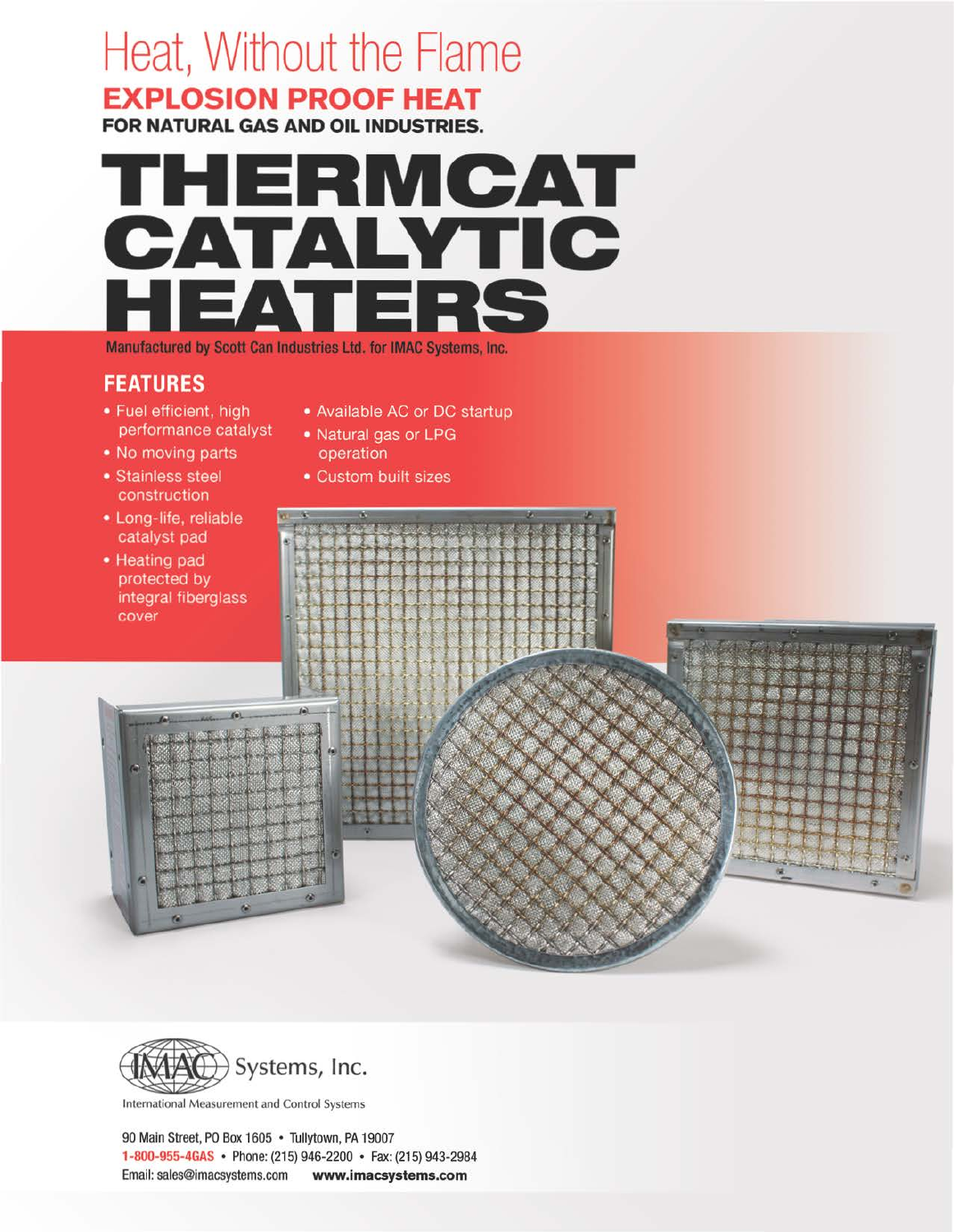# Heat, Without the Flame EXPLOSION PROOF HEAT

FOR NATURAL GAS AND OIL INDUSTRIES.

# THERMCAT CATALYTIC<br>HEATERS

Manufactured by Scott Can Industries Ltd. for IMAC Systems, Inc.

# **FEATURES**

- Fuel efficient, high performance catalyst
- . No moving parts
- Stainless steel construction
- · Long-life, reliable catalyst pad
- Available AC or DC startup
- Natural gas or LPG operation
- Custom built sizes





International Measurement and Control Systems

90 Main Street, PO Box 1605 • Tullytown, PA 19007 1-800-955-4GAS • Phone: (215) 946-2200 • Fax: (215) 943-2984 Email: sales@imacsystems.com www.imacsystems.com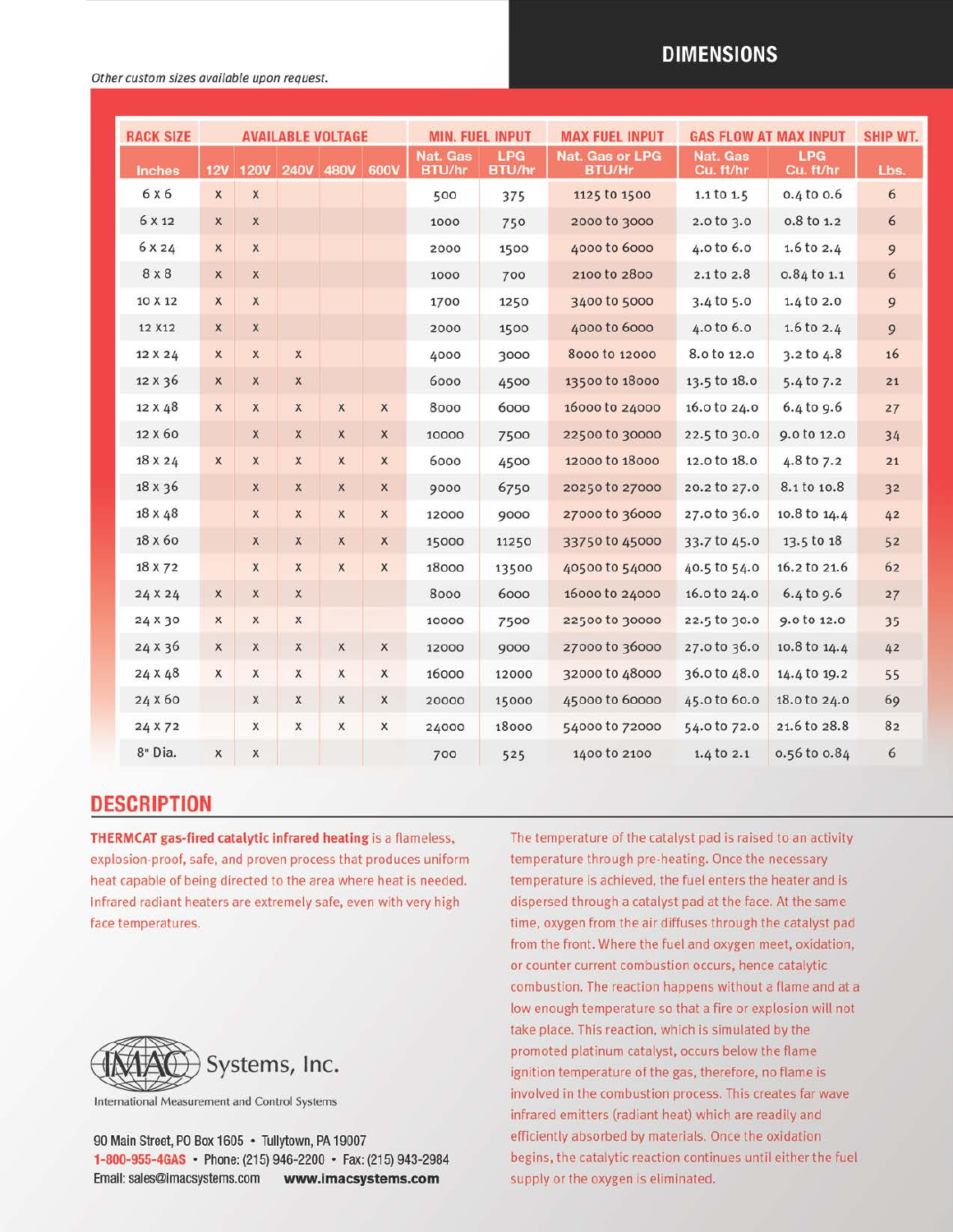#### Other custom sizes available upon request.

### **DIMENSIONS**

| <b>RACK SIZE</b> |                         |                           |              | <b>AVAILABLE VOLTAGE</b> |                  |                                  | <b>MIN. FUEL INPUT</b>      | <b>MAX FUEL INPUT</b>            | <b>GAS FLOW AT MAX INPUT</b> | <b>SHIP WT.</b>         |      |
|------------------|-------------------------|---------------------------|--------------|--------------------------|------------------|----------------------------------|-----------------------------|----------------------------------|------------------------------|-------------------------|------|
| <b>Inches</b>    | 12V                     | <b>120V</b>               |              | 240V 480V                | 600V             | <b>Nat. Gas</b><br><b>BTU/hr</b> | <b>LPG</b><br><b>BTU/hr</b> | Nat. Gas or LPG<br><b>BTU/Hr</b> | Nat. Gas<br>Cu. ft/hr        | <b>LPG</b><br>Cu. ft/hr | Lbs. |
| 6 x 6            | $\mathsf X$             | $\boldsymbol{\mathsf{X}}$ |              |                          |                  | 500                              | 375                         | 1125 to 1500                     | $1.1$ to $1.5$               | $0.4$ to $0.6$          | 6    |
| 6 X 12           | X                       | X                         |              |                          |                  | 1000                             | 750                         | 2000 to 3000                     | 2.0 to 3.0                   | o.8 to 1.2              | 6    |
| 6 X 24           | $\mathsf X$             | $\mathsf{x}$              |              |                          |                  | 2000                             | 1500                        | 4000 to 6000                     | 4.0 to 6.0                   | 1.6 to $2.4$            | 9    |
| 8 x 8            | $\mathsf X$             | $\mathsf{x}$              |              |                          |                  | 1000                             | 700                         | 2100 to 2800                     | 2.1 to 2.8                   | 0.84 to 1.1             | 6    |
| 10 X 12          | $\overline{\mathsf{x}}$ | $\mathsf X$               |              |                          |                  | 1700                             | 1250                        | 3400 to 5000                     | $3.4$ to $5.0$               | $1.4$ to $2.0$          | 9    |
| 12 X12           | X                       | $\mathsf X$               |              |                          |                  | 2000                             | 1500                        | 4000 to 6000                     | 4.0 to 6.0                   | $1.6$ to $2.4$          | 9    |
| 12 X 24          | $\mathsf{x}$            | $\mathsf{x}$              | $\mathsf X$  |                          |                  | 4000                             | 3000                        | 8000 to 12000                    | 8.0 to 12.0                  | 3.2 to 4.8              | 16   |
| 12 X 36          | X                       | $\mathsf{X}$              | $\mathsf X$  |                          |                  | 6000                             | 4500                        | 13500 to 18000                   | 13.5 to 18.0                 | 5.4 to 7.2              | 21   |
| 12 X 48          | $\mathsf{X}$            | $\mathsf{X}$              | $\mathsf{x}$ | $\mathsf{x}$             | $\mathsf X$      | 8000                             | 6000                        | 16000 to 24000                   | 16.0 to 24.0                 | $6.4$ to $9.6$          | 27   |
| 12 X 60          |                         | $\boldsymbol{\mathsf{x}}$ | X            | $\mathsf{X}$             | X                | 10000                            | 7500                        | 22500 to 30000                   | 22.5 to 30.0                 | 9.0 to 12.0             | 34   |
| 18 X 24          | $\mathsf X$             | $\mathsf{x}$              | $\mathsf{x}$ | $\mathsf{x}$             | $\mathsf X$      | 6000                             | 4500                        | 12000 to 18000                   | 12.0 to 18.0                 | 4.8 to 7.2              | 21   |
| 18 x 36          |                         | $\mathsf{X}$              | $\mathsf{X}$ | $\mathsf{X}$             | X                | 9000                             | 6750                        | 20250 to 27000                   | 20.2 to 27.0                 | 8.1 to 10.8             | 32   |
| 18 X 48          |                         | $\mathsf X$               | $\mathsf{X}$ | $\mathsf X$              | $\mathsf X$      | 12000                            | 9000                        | 27000 to 36000                   | 27.0 to 36.0                 | 10.8 to 14.4            | 42   |
| 18 x 60          |                         | $\mathsf{X}$              | $\mathsf{X}$ | $\boldsymbol{x}$         | X                | 15000                            | 11250                       | 33750 to 45000                   | 33.7 to 45.0                 | 13.5 to 18              | 52   |
| 18 X 72          |                         | $\mathsf{X}$              | $\mathsf{X}$ | $\times$                 | $\boldsymbol{x}$ | 18000                            | 13500                       | 40500 to 54000                   | 40.5 to 54.0                 | 16.2 to 21.6            | 62   |
| 24 X 24          | $\mathsf{x}$            | $\mathsf{x}$              | $\mathsf X$  |                          |                  | 8000                             | 6000                        | 16000 to 24000                   | 16.0 to 24.0                 | $6.4$ to 9.6            | 27   |
| 24 X 30          | x                       | X                         | X            |                          |                  | 10000                            | 7500                        | 22500 to 30000                   | 22.5 to 30.0                 | 9.0 to 12.0             | 35   |
| 24 X 36          | X                       | X                         | X            | $\mathsf X$              | $\mathsf X$      | 12000                            | 9000                        | 27000 to 36000                   | 27.0 to 36.0                 | 10.8 to 14.4            | 42   |
| 24 X 48          | X                       | X                         | $\mathsf{x}$ | X                        | X                | 16000                            | 12000                       | 32000 to 48000                   | 36.0 to 48.0                 | 14.4 to 19.2            | 55   |
| 24 X 60          |                         | X                         | X            | $\times$                 | X                | 20000                            | 15000                       | 45000 to 60000                   | 45.0 to 60.0                 | 18.0 to 24.0            | 69   |
| 24 X 72          |                         | X                         | X            | X                        | $\mathsf X$      | 24000                            | 18000                       | 54000 to 72000                   | 54.0 to 72.0                 | 21.6 to 28.8            | 82   |
| 8" Dia.          | X                       | X                         |              |                          |                  | 700                              | 525                         | 1400 to 2100                     | $1.4$ to $2.1$               | 0.56 to 0.84            | 6    |

### **DESCRIPTION**

**THERMCAT gas-fired catalytic infrared heating is a flameless,** explosion-proof, safe, and proven process that produces uniform heat capable of being directed to the area where heat is needed. Infrared radiant heaters are extremely safe, even with very high face temperatures.



International Measurement and Control Systems

90 Main Street, PO Box 1605 . Tullytown, PA 19007 1-800-955-4GAS • Phone: (215) 946-2200 • Fax: (215) 943-2984 Email: sales@imacsystems.com www.imacsystems.com

The temperature of the catalyst pad is raised to an activity temperature through pre-heating. Once the necessary temperature is achieved, the fuel enters the heater and is dispersed through a catalyst pad at the face. At the same time, oxygen from the air diffuses through the catalyst pad from the front. Where the fuel and oxygen meet, oxidation, or counter current combustion occurs, hence catalytic combustion. The reaction happens without a flame and at a low enough temperature so that a fire or explosion will not take place. This reaction, which is simulated by the promoted platinum catalyst, occurs below the flame ignition temperature of the gas, therefore, no flame is involved in the combustion process. This creates far wave infrared emitters (radiant heat) which are readily and efficiently absorbed by materials. Once the oxidation begins, the catalytic reaction continues until either the fuel supply or the oxygen is eliminated.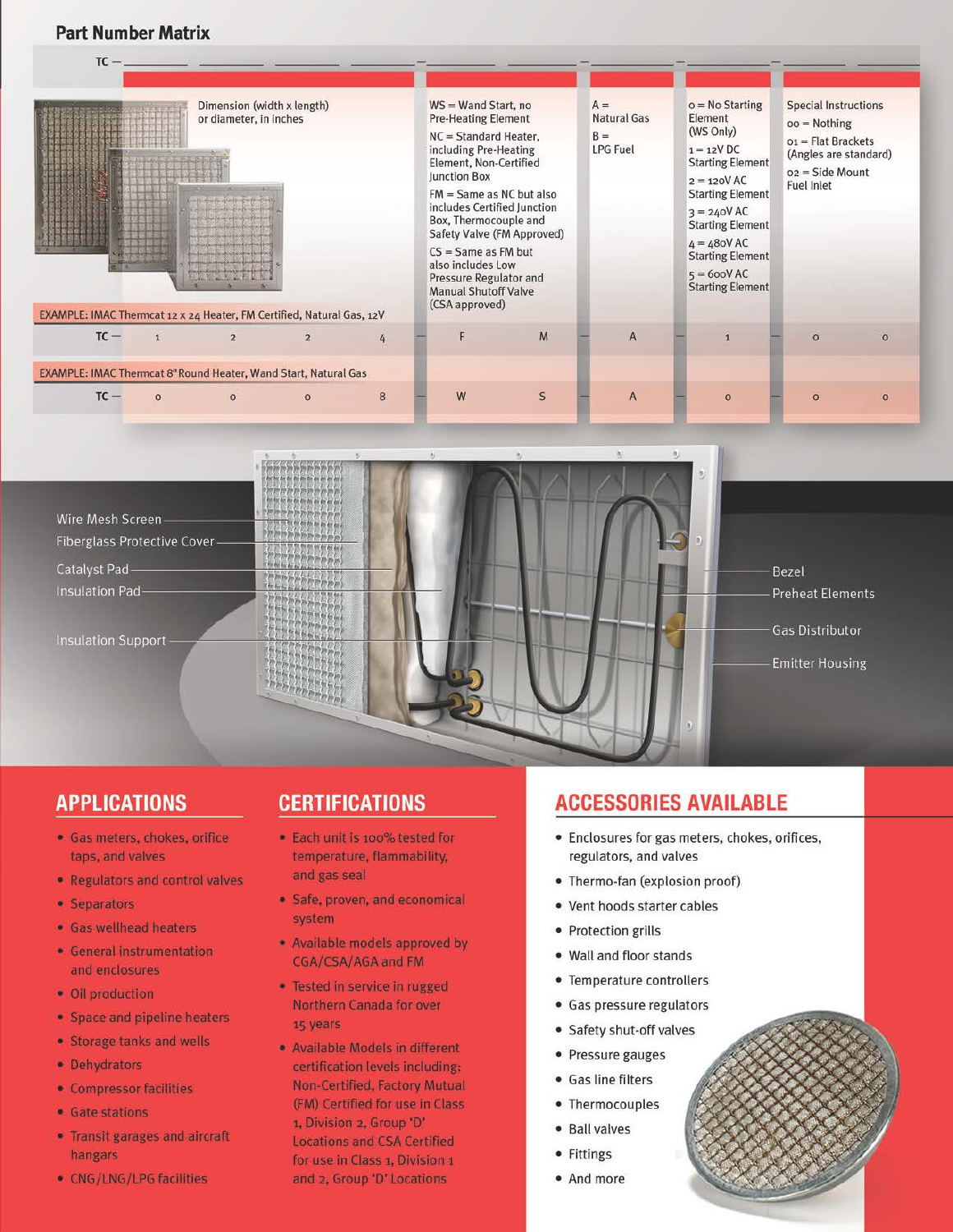#### **Part Number Matrix**

| <b>Fait Number Matrix</b>                                                                                                                                       |                |                |   |  |                                                                                                                                                                                                                                                                                                                                                                                            |              |  |                                                         |                                                                                                                                                                                                                                                                      |  |                                                                                                                                                  |          |  |
|-----------------------------------------------------------------------------------------------------------------------------------------------------------------|----------------|----------------|---|--|--------------------------------------------------------------------------------------------------------------------------------------------------------------------------------------------------------------------------------------------------------------------------------------------------------------------------------------------------------------------------------------------|--------------|--|---------------------------------------------------------|----------------------------------------------------------------------------------------------------------------------------------------------------------------------------------------------------------------------------------------------------------------------|--|--------------------------------------------------------------------------------------------------------------------------------------------------|----------|--|
| Dimension (width x length)<br>or diameter, in inches<br>and did the and the company of<br>EXAMPLE: IMAC Thermcat 12 x 24 Heater, FM Certified, Natural Gas, 12V |                |                |   |  | WS = Wand Start, no<br><b>Pre-Heating Element</b><br>NC = Standard Heater,<br>including Pre-Heating<br>Element, Non-Certified<br>Junction Box<br>$FM = Same$ as NC but also<br>includes Certified Junction<br>Box, Thermocouple and<br>Safety Valve (FM Approved)<br>$CS = Same$ as FM but<br>also includes Low<br>Pressure Regulator and<br><b>Manual Shutoff Valve</b><br>(CSA approved) |              |  | $A =$<br><b>Natural Gas</b><br>$B =$<br><b>LPG Fuel</b> | $o = No$ Starting<br>Element<br>(WS Only)<br>$1 = 12V$ DC<br><b>Starting Element</b><br>$2 = 120$ VAC<br><b>Starting Element</b><br>$3 = 240$ VAC<br><b>Starting Element</b><br>$4 = 480$ VAC<br><b>Starting Element</b><br>$5 = 600$ VAC<br><b>Starting Element</b> |  | <b>Special Instructions</b><br>$oo = \text{Nothing}$<br>$o_1$ = Flat Brackets<br>(Angles are standard)<br>$o2 = Side Mount$<br><b>Fuel Inlet</b> |          |  |
| $TC -$<br>$\overline{\mathbf{1}}$                                                                                                                               | $\overline{2}$ | $\overline{2}$ | 4 |  | F                                                                                                                                                                                                                                                                                                                                                                                          | M            |  | $\overline{A}$                                          |                                                                                                                                                                                                                                                                      |  | $\circ$                                                                                                                                          | $\Omega$ |  |
| EXAMPLE: IMAC Thermcat 8" Round Heater, Wand Start, Natural Gas                                                                                                 |                |                |   |  |                                                                                                                                                                                                                                                                                                                                                                                            |              |  |                                                         |                                                                                                                                                                                                                                                                      |  |                                                                                                                                                  |          |  |
| $TC -$<br>$\circ$                                                                                                                                               | $\circ$        | $\circ$        | 8 |  | W                                                                                                                                                                                                                                                                                                                                                                                          | $\mathsf{S}$ |  | A                                                       | $\Omega$                                                                                                                                                                                                                                                             |  | $\circ$                                                                                                                                          | $\Omega$ |  |



# **APPLICATIONS**

- · Gas meters, chokes, orifice taps, and valves
- Regulators and control valves
- Separators
- · Gas wellhead heaters
- General instrumentation and enclosures
- · Oil production
- Space and pipeline heaters
- · Storage tanks and wells
- Dehydrators
- Compressor facilities
- Gate stations
- Transit garages and aircraft hangars
- CNG/LNG/LPG facilities

# **CERTIFICATIONS**

- · Each unit is 100% tested for temperature, flammability, and gas seal
- · Safe, proven, and economical system
- · Available models approved by CGA/CSA/AGA and FM
- · Tested in service in rugged Northern Canada for over 15 years
- · Available Models in different certification levels including: Non-Certified, Factory Mutual (FM) Certified for use in Class 1, Division 2, Group 'D' **Locations and CSA Certified** for use in Class 1, Division 1 and 2, Group 'D' Locations

# **ACCESSORIES AVAILABLE**

- Enclosures for gas meters, chokes, orifices, regulators, and valves
- Thermo-fan (explosion proof)
- Vent hoods starter cables
- Protection grills
- Wall and floor stands
- Temperature controllers
- Gas pressure regulators
- Safety shut -off valves
- Pressure gauges
- Gas line filters
- Thermocouples
- Ball valves
- Fittings
- And more